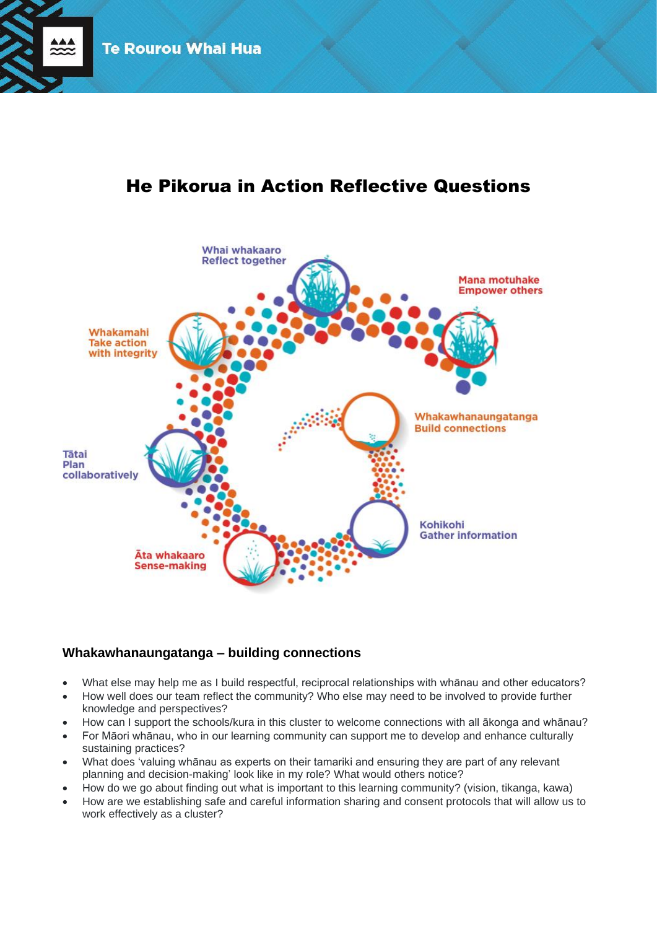

# He Pikorua in Action Reflective Questions



# **Whakawhanaungatanga – building connections**

- What else may help me as I build respectful, reciprocal relationships with whānau and other educators?
- How well does our team reflect the community? Who else may need to be involved to provide further knowledge and perspectives?
- How can I support the schools/kura in this cluster to welcome connections with all ākonga and whānau?
- For Māori whānau, who in our learning community can support me to develop and enhance culturally sustaining practices?
- What does 'valuing whānau as experts on their tamariki and ensuring they are part of any relevant planning and decision-making' look like in my role? What would others notice?
- How do we go about finding out what is important to this learning community? (vision, tikanga, kawa)
- How are we establishing safe and careful information sharing and consent protocols that will allow us to work effectively as a cluster?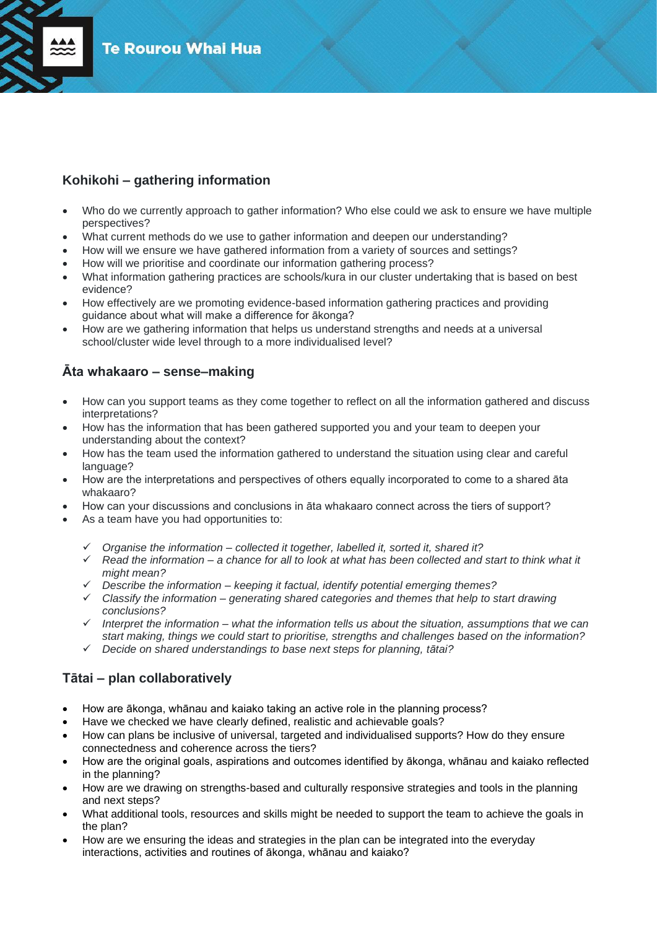

## **Kohikohi – gathering information**

- Who do we currently approach to gather information? Who else could we ask to ensure we have multiple perspectives?
- What current methods do we use to gather information and deepen our understanding?
- How will we ensure we have gathered information from a variety of sources and settings?
- How will we prioritise and coordinate our information gathering process?
- What information gathering practices are schools/kura in our cluster undertaking that is based on best evidence?
- How effectively are we promoting evidence-based information gathering practices and providing guidance about what will make a difference for ākonga?
- How are we gathering information that helps us understand strengths and needs at a universal school/cluster wide level through to a more individualised level?

# **Āta whakaaro – sense–making**

- How can you support teams as they come together to reflect on all the information gathered and discuss interpretations?
- How has the information that has been gathered supported you and your team to deepen your understanding about the context?
- How has the team used the information gathered to understand the situation using clear and careful language?
- How are the interpretations and perspectives of others equally incorporated to come to a shared āta whakaaro?
- How can your discussions and conclusions in āta whakaaro connect across the tiers of support?
- As a team have you had opportunities to:
	- ✓ *Organise the information – collected it together, labelled it, sorted it, shared it?*
	- ✓ *Read the information – a chance for all to look at what has been collected and start to think what it might mean?*
	- ✓ *Describe the information – keeping it factual, identify potential emerging themes?*
	- ✓ *Classify the information – generating shared categories and themes that help to start drawing conclusions?*
	- ✓ *Interpret the information – what the information tells us about the situation, assumptions that we can start making, things we could start to prioritise, strengths and challenges based on the information?*
	- ✓ *Decide on shared understandings to base next steps for planning, tātai?*

### **Tātai – plan collaboratively**

- How are ākonga, whānau and kaiako taking an active role in the planning process?
- Have we checked we have clearly defined, realistic and achievable goals?
- How can plans be inclusive of universal, targeted and individualised supports? How do they ensure connectedness and coherence across the tiers?
- How are the original goals, aspirations and outcomes identified by ākonga, whānau and kaiako reflected in the planning?
- How are we drawing on strengths-based and culturally responsive strategies and tools in the planning and next steps?
- What additional tools, resources and skills might be needed to support the team to achieve the goals in the plan?
- How are we ensuring the ideas and strategies in the plan can be integrated into the everyday interactions, activities and routines of ākonga, whānau and kaiako?